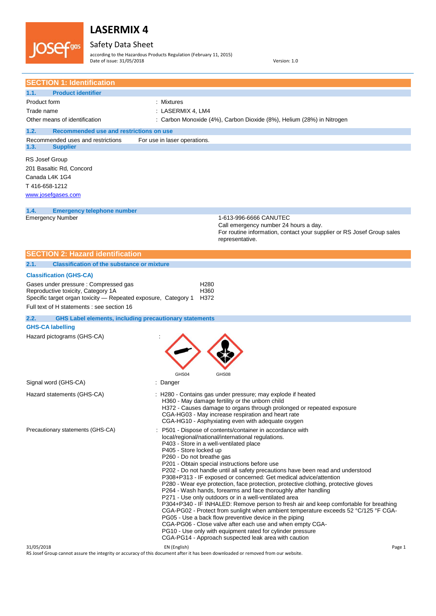Safety Data Sheet **JOSef**gas

according to the Hazardous Products Regulation (February 11, 2015) Date of issue: 31/05/2018 Version: 1.0

| <b>SECTION 1: Identification</b>                                                                                                                                                            |                                                                                                                                                                                                                                                                                                                                                                                                                                                                                                                                                                                                                                                                                                                                                                                                                                                                                                                                                                                                                                                                         |
|---------------------------------------------------------------------------------------------------------------------------------------------------------------------------------------------|-------------------------------------------------------------------------------------------------------------------------------------------------------------------------------------------------------------------------------------------------------------------------------------------------------------------------------------------------------------------------------------------------------------------------------------------------------------------------------------------------------------------------------------------------------------------------------------------------------------------------------------------------------------------------------------------------------------------------------------------------------------------------------------------------------------------------------------------------------------------------------------------------------------------------------------------------------------------------------------------------------------------------------------------------------------------------|
| 1.1.<br><b>Product identifier</b>                                                                                                                                                           |                                                                                                                                                                                                                                                                                                                                                                                                                                                                                                                                                                                                                                                                                                                                                                                                                                                                                                                                                                                                                                                                         |
| Product form                                                                                                                                                                                | : Mixtures                                                                                                                                                                                                                                                                                                                                                                                                                                                                                                                                                                                                                                                                                                                                                                                                                                                                                                                                                                                                                                                              |
| Trade name                                                                                                                                                                                  | : LASERMIX 4, LM4                                                                                                                                                                                                                                                                                                                                                                                                                                                                                                                                                                                                                                                                                                                                                                                                                                                                                                                                                                                                                                                       |
| Other means of identification                                                                                                                                                               | : Carbon Monoxide (4%), Carbon Dioxide (8%), Helium (28%) in Nitrogen                                                                                                                                                                                                                                                                                                                                                                                                                                                                                                                                                                                                                                                                                                                                                                                                                                                                                                                                                                                                   |
| 1.2.<br><b>Recommended use and restrictions on use</b>                                                                                                                                      |                                                                                                                                                                                                                                                                                                                                                                                                                                                                                                                                                                                                                                                                                                                                                                                                                                                                                                                                                                                                                                                                         |
| Recommended uses and restrictions<br>1.3.<br><b>Supplier</b>                                                                                                                                | For use in laser operations.                                                                                                                                                                                                                                                                                                                                                                                                                                                                                                                                                                                                                                                                                                                                                                                                                                                                                                                                                                                                                                            |
| <b>RS Josef Group</b><br>201 Basaltic Rd, Concord<br>Canada L4K 1G4<br>T416-658-1212<br>www.josefgases.com                                                                                  |                                                                                                                                                                                                                                                                                                                                                                                                                                                                                                                                                                                                                                                                                                                                                                                                                                                                                                                                                                                                                                                                         |
| 1.4.<br><b>Emergency telephone number</b>                                                                                                                                                   |                                                                                                                                                                                                                                                                                                                                                                                                                                                                                                                                                                                                                                                                                                                                                                                                                                                                                                                                                                                                                                                                         |
| <b>Emergency Number</b>                                                                                                                                                                     | 1-613-996-6666 CANUTEC<br>Call emergency number 24 hours a day.<br>For routine information, contact your supplier or RS Josef Group sales<br>representative.                                                                                                                                                                                                                                                                                                                                                                                                                                                                                                                                                                                                                                                                                                                                                                                                                                                                                                            |
| <b>SECTION 2: Hazard identification</b>                                                                                                                                                     |                                                                                                                                                                                                                                                                                                                                                                                                                                                                                                                                                                                                                                                                                                                                                                                                                                                                                                                                                                                                                                                                         |
| 2.1.<br><b>Classification of the substance or mixture</b>                                                                                                                                   |                                                                                                                                                                                                                                                                                                                                                                                                                                                                                                                                                                                                                                                                                                                                                                                                                                                                                                                                                                                                                                                                         |
| <b>Classification (GHS-CA)</b>                                                                                                                                                              |                                                                                                                                                                                                                                                                                                                                                                                                                                                                                                                                                                                                                                                                                                                                                                                                                                                                                                                                                                                                                                                                         |
| Gases under pressure : Compressed gas<br>Reproductive toxicity, Category 1A<br>Specific target organ toxicity - Repeated exposure, Category 1<br>Full text of H statements : see section 16 | H <sub>280</sub><br>H360<br>H372                                                                                                                                                                                                                                                                                                                                                                                                                                                                                                                                                                                                                                                                                                                                                                                                                                                                                                                                                                                                                                        |
| 2.2.<br><b>GHS Label elements, including precautionary statements</b>                                                                                                                       |                                                                                                                                                                                                                                                                                                                                                                                                                                                                                                                                                                                                                                                                                                                                                                                                                                                                                                                                                                                                                                                                         |
| <b>GHS-CA labelling</b><br>Hazard pictograms (GHS-CA)                                                                                                                                       | GHS04<br>GHS08                                                                                                                                                                                                                                                                                                                                                                                                                                                                                                                                                                                                                                                                                                                                                                                                                                                                                                                                                                                                                                                          |
| Signal word (GHS-CA)                                                                                                                                                                        | : Danger                                                                                                                                                                                                                                                                                                                                                                                                                                                                                                                                                                                                                                                                                                                                                                                                                                                                                                                                                                                                                                                                |
| Hazard statements (GHS-CA)                                                                                                                                                                  | : H280 - Contains gas under pressure; may explode if heated<br>H360 - May damage fertility or the unborn child<br>H372 - Causes damage to organs through prolonged or repeated exposure<br>CGA-HG03 - May increase respiration and heart rate<br>CGA-HG10 - Asphyxiating even with adequate oxygen                                                                                                                                                                                                                                                                                                                                                                                                                                                                                                                                                                                                                                                                                                                                                                      |
| Precautionary statements (GHS-CA)                                                                                                                                                           | P501 - Dispose of contents/container in accordance with<br>local/regional/national/international regulations.<br>P403 - Store in a well-ventilated place<br>P405 - Store locked up<br>P260 - Do not breathe gas<br>P201 - Obtain special instructions before use<br>P202 - Do not handle until all safety precautions have been read and understood<br>P308+P313 - IF exposed or concerned: Get medical advice/attention<br>P280 - Wear eye protection, face protection, protective clothing, protective gloves<br>P264 - Wash hands, forearms and face thoroughly after handling<br>P271 - Use only outdoors or in a well-ventilated area<br>P304+P340 - IF INHALED: Remove person to fresh air and keep comfortable for breathing<br>CGA-PG02 - Protect from sunlight when ambient temperature exceeds 52 °C/125 °F CGA-<br>PG05 - Use a back flow preventive device in the piping<br>CGA-PG06 - Close valve after each use and when empty CGA-<br>PG10 - Use only with equipment rated for cylinder pressure<br>CGA-PG14 - Approach suspected leak area with caution |
| 31/05/2018                                                                                                                                                                                  | EN (English)<br>Page 1                                                                                                                                                                                                                                                                                                                                                                                                                                                                                                                                                                                                                                                                                                                                                                                                                                                                                                                                                                                                                                                  |

RS Josef Group cannot assure the integrity or accuracy of this document after it has been downloaded or removed from our website.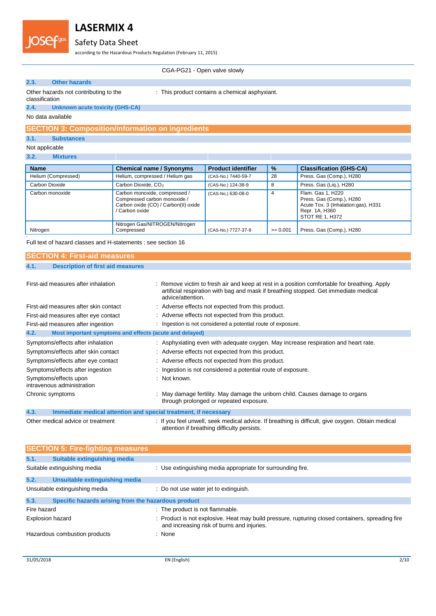

### Safety Data Sheet

according to the Hazardous Products Regulation (February 11, 2015)

CGA-PG21 - Open valve slowly

#### **2.3. Other hazards**

: This product contains a chemical asphyxiant.

#### Other hazards not contributing to the classification

**2.4. Unknown acute toxicity (GHS-CA)**

No data available

#### **SECTION 3: Composition/information on ingredients**

**3.1. Substances**

### Not applicable

| 3.2. |  |  | <b>Mixtures</b> |  |
|------|--|--|-----------------|--|
|      |  |  |                 |  |

| <b>Name</b>         | <b>Chemical name / Synonyms</b>                                                                                         | <b>Product identifier</b> | $\frac{1}{2}$ | <b>Classification (GHS-CA)</b>                                                                                            |
|---------------------|-------------------------------------------------------------------------------------------------------------------------|---------------------------|---------------|---------------------------------------------------------------------------------------------------------------------------|
| Helium (Compressed) | Helium, compressed / Helium gas                                                                                         | (CAS-No.) 7440-59-7       | 28            | Press. Gas (Comp.), H280                                                                                                  |
| Carbon Dioxide      | Carbon Dioxide, CO <sub>2</sub>                                                                                         | (CAS-No.) 124-38-9        | 8             | Press. Gas (Liq.), H280                                                                                                   |
| Carbon monoxide     | Carbon monoxide, compressed /<br>Compressed carbon monoxide /<br>Carbon oxide (CO) / Carbon(II) oxide<br>/ Carbon oxide | (CAS-No.) 630-08-0        | 4             | Flam. Gas 1. H220<br>Press. Gas (Comp.), H280<br>Acute Tox. 3 (Inhalation:gas), H331<br>Repr. 1A, H360<br>STOT RE 1, H372 |
| Nitrogen            | Nitrogen Gas/NITROGEN/Nitrogen<br>Compressed                                                                            | (CAS-No.) 7727-37-9       | $>= 0.001$    | Press. Gas (Comp.), H280                                                                                                  |

Full text of hazard classes and H-statements : see section 16

| <b>SECTION 4: First-aid measures</b> |                                          |  |
|--------------------------------------|------------------------------------------|--|
| 4.1.                                 | <b>Description of first aid measures</b> |  |

| First-aid measures after inhalation                                     | : Remove victim to fresh air and keep at rest in a position comfortable for breathing. Apply<br>artificial respiration with bag and mask if breathing stopped. Get immediate medical<br>advice/attention. |
|-------------------------------------------------------------------------|-----------------------------------------------------------------------------------------------------------------------------------------------------------------------------------------------------------|
| First-aid measures after skin contact                                   | : Adverse effects not expected from this product.                                                                                                                                                         |
| First-aid measures after eye contact                                    | : Adverse effects not expected from this product.                                                                                                                                                         |
| First-aid measures after ingestion                                      | Ingestion is not considered a potential route of exposure.                                                                                                                                                |
| 4.2.<br>Most important symptoms and effects (acute and delayed)         |                                                                                                                                                                                                           |
| Symptoms/effects after inhalation                                       | : Asphyxiating even with adequate oxygen. May increase respiration and heart rate.                                                                                                                        |
| Symptoms/effects after skin contact                                     | : Adverse effects not expected from this product.                                                                                                                                                         |
| Symptoms/effects after eye contact                                      | : Adverse effects not expected from this product.                                                                                                                                                         |
| Symptoms/effects after ingestion                                        | Ingestion is not considered a potential route of exposure.                                                                                                                                                |
| Symptoms/effects upon<br>intravenous administration                     | $:$ Not known.                                                                                                                                                                                            |
| Chronic symptoms                                                        | May damage fertility. May damage the unborn child. Causes damage to organs<br>through prolonged or repeated exposure.                                                                                     |
| 4.3.<br>Immediate medical attention and special treatment, if necessary |                                                                                                                                                                                                           |
| Other medical advice or treatment                                       | : If you feel unwell, seek medical advice. If breathing is difficult, give oxygen. Obtain medical<br>attention if breathing difficulty persists.                                                          |

|                         | <b>SECTION 5: Fire-fighting measures</b>            |                                                                                                                                                |
|-------------------------|-----------------------------------------------------|------------------------------------------------------------------------------------------------------------------------------------------------|
| 5.1.                    | Suitable extinguishing media                        |                                                                                                                                                |
|                         | Suitable extinguishing media                        | : Use extinguishing media appropriate for surrounding fire.                                                                                    |
| 5.2.                    | Unsuitable extinguishing media                      |                                                                                                                                                |
|                         | Unsuitable extinguishing media                      | : Do not use water jet to extinguish.                                                                                                          |
| 5.3.                    | Specific hazards arising from the hazardous product |                                                                                                                                                |
| Fire hazard             |                                                     | : The product is not flammable.                                                                                                                |
| <b>Explosion hazard</b> |                                                     | : Product is not explosive. Heat may build pressure, rupturing closed containers, spreading fire<br>and increasing risk of burns and injuries. |
|                         | Hazardous combustion products                       | : None                                                                                                                                         |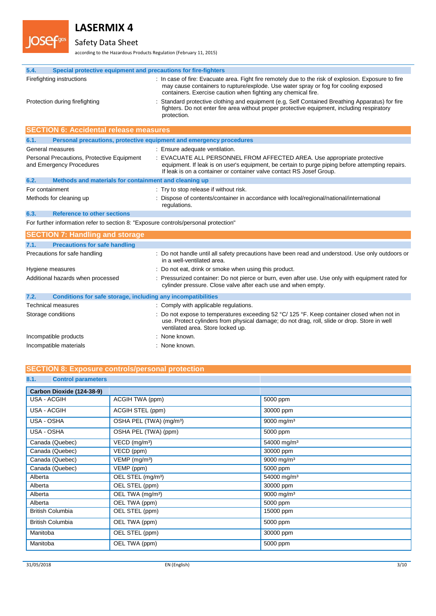

## Safety Data Sheet

according to the Hazardous Products Regulation (February 11, 2015)

| 5.4.            | Special protective equipment and precautions for fire-fighters                      |                                                                                                                                                                                                                                                              |
|-----------------|-------------------------------------------------------------------------------------|--------------------------------------------------------------------------------------------------------------------------------------------------------------------------------------------------------------------------------------------------------------|
|                 | Firefighting instructions                                                           | : In case of fire: Evacuate area. Fight fire remotely due to the risk of explosion. Exposure to fire<br>may cause containers to rupture/explode. Use water spray or fog for cooling exposed<br>containers. Exercise caution when fighting any chemical fire. |
|                 | Protection during firefighting                                                      | Standard protective clothing and equipment (e.g. Self Contained Breathing Apparatus) for fire<br>fighters. Do not enter fire area without proper protective equipment, including respiratory<br>protection.                                                  |
|                 | <b>SECTION 6: Accidental release measures</b>                                       |                                                                                                                                                                                                                                                              |
| 6.1.            |                                                                                     | Personal precautions, protective equipment and emergency procedures                                                                                                                                                                                          |
|                 | General measures                                                                    | : Ensure adequate ventilation.                                                                                                                                                                                                                               |
|                 | Personal Precautions, Protective Equipment<br>and Emergency Procedures              | : EVACUATE ALL PERSONNEL FROM AFFECTED AREA. Use appropriate protective<br>equipment. If leak is on user's equipment, be certain to purge piping before attempting repairs.<br>If leak is on a container or container valve contact RS Josef Group.          |
| 6.2.            | Methods and materials for containment and cleaning up                               |                                                                                                                                                                                                                                                              |
| For containment |                                                                                     | : Try to stop release if without risk.                                                                                                                                                                                                                       |
|                 | Methods for cleaning up                                                             | : Dispose of contents/container in accordance with local/regional/national/international<br>regulations.                                                                                                                                                     |
| 6.3.            | <b>Reference to other sections</b>                                                  |                                                                                                                                                                                                                                                              |
|                 | For further information refer to section 8: "Exposure controls/personal protection" |                                                                                                                                                                                                                                                              |
|                 | <b>SECTION 7: Handling and storage</b>                                              |                                                                                                                                                                                                                                                              |
| 7.1.            | <b>Precautions for safe handling</b>                                                |                                                                                                                                                                                                                                                              |
|                 | Precautions for safe handling                                                       | : Do not handle until all safety precautions have been read and understood. Use only outdoors or<br>in a well-ventilated area.                                                                                                                               |
|                 | Hygiene measures                                                                    | : Do not eat, drink or smoke when using this product.                                                                                                                                                                                                        |
|                 | Additional hazards when processed                                                   | : Pressurized container: Do not pierce or burn, even after use. Use only with equipment rated for<br>cylinder pressure. Close valve after each use and when empty.                                                                                           |
| 7.2.            | Conditions for safe storage, including any incompatibilities                        |                                                                                                                                                                                                                                                              |
|                 | <b>Technical measures</b>                                                           | : Comply with applicable regulations.                                                                                                                                                                                                                        |
|                 | Storage conditions                                                                  | Do not expose to temperatures exceeding 52 °C/ 125 °F. Keep container closed when not in<br>use. Protect cylinders from physical damage; do not drag, roll, slide or drop. Store in well<br>ventilated area. Store locked up.                                |
|                 | Incompatible products                                                               | : None known.                                                                                                                                                                                                                                                |
|                 | Incompatible materials                                                              | : None known.                                                                                                                                                                                                                                                |

### **SECTION 8: Exposure controls/personal protection**

### **8.1. Control parameters**

| Carbon Dioxide (124-38-9) |                                     |                         |
|---------------------------|-------------------------------------|-------------------------|
| USA - ACGIH               | ACGIH TWA (ppm)                     | 5000 ppm                |
| USA - ACGIH               | ACGIH STEL (ppm)                    | 30000 ppm               |
| USA - OSHA                | OSHA PEL (TWA) (mg/m <sup>3</sup> ) | 9000 mg/m <sup>3</sup>  |
| USA - OSHA                | OSHA PEL (TWA) (ppm)                | 5000 ppm                |
| Canada (Quebec)           | VECD (mg/m <sup>3</sup> )           | 54000 mg/m <sup>3</sup> |
| Canada (Quebec)           | VECD (ppm)                          | 30000 ppm               |
| Canada (Quebec)           | VEMP (mg/m <sup>3</sup> )           | 9000 mg/m <sup>3</sup>  |
| Canada (Quebec)           | VEMP (ppm)                          | 5000 ppm                |
| Alberta                   | OEL STEL (mg/m <sup>3</sup> )       | 54000 mg/m <sup>3</sup> |
| Alberta                   | OEL STEL (ppm)                      | 30000 ppm               |
| Alberta                   | OEL TWA (mg/m <sup>3</sup> )        | 9000 mg/m <sup>3</sup>  |
| Alberta                   | OEL TWA (ppm)                       | 5000 ppm                |
| <b>British Columbia</b>   | OEL STEL (ppm)                      | 15000 ppm               |
| <b>British Columbia</b>   | OEL TWA (ppm)                       | 5000 ppm                |
| Manitoba                  | OEL STEL (ppm)                      | 30000 ppm               |
| Manitoba                  | OEL TWA (ppm)                       | 5000 ppm                |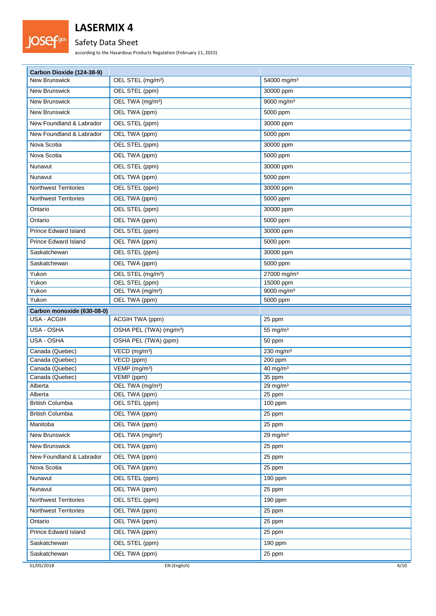

## Safety Data Sheet

according to the Hazardous Products Regulation (February 11, 2015)

| Carbon Dioxide (124-38-9)    |                                               |                                    |
|------------------------------|-----------------------------------------------|------------------------------------|
| <b>New Brunswick</b>         | OEL STEL (mg/m <sup>3</sup> )                 | 54000 mg/m <sup>3</sup>            |
| <b>New Brunswick</b>         | OEL STEL (ppm)                                | 30000 ppm                          |
| New Brunswick                | OEL TWA (mg/m <sup>3</sup> )                  | 9000 mg/m <sup>3</sup>             |
| New Brunswick                | OEL TWA (ppm)                                 | 5000 ppm                           |
| New Foundland & Labrador     | OEL STEL (ppm)                                | 30000 ppm                          |
| New Foundland & Labrador     | OEL TWA (ppm)                                 | 5000 ppm                           |
| Nova Scotia                  | OEL STEL (ppm)                                | 30000 ppm                          |
| Nova Scotia                  | OEL TWA (ppm)                                 |                                    |
|                              |                                               | 5000 ppm                           |
| Nunavut                      | OEL STEL (ppm)                                | 30000 ppm                          |
| Nunavut                      | OEL TWA (ppm)                                 | 5000 ppm                           |
| <b>Northwest Territories</b> | OEL STEL (ppm)                                | 30000 ppm                          |
| <b>Northwest Territories</b> | OEL TWA (ppm)                                 | 5000 ppm                           |
| Ontario                      | OEL STEL (ppm)                                | 30000 ppm                          |
| Ontario                      | OEL TWA (ppm)                                 | 5000 ppm                           |
| <b>Prince Edward Island</b>  | OEL STEL (ppm)                                | 30000 ppm                          |
| <b>Prince Edward Island</b>  | OEL TWA (ppm)                                 | 5000 ppm                           |
| Saskatchewan                 | OEL STEL (ppm)                                | 30000 ppm                          |
| Saskatchewan                 | OEL TWA (ppm)                                 | 5000 ppm                           |
| Yukon                        | OEL STEL (mg/m <sup>3</sup> )                 | 27000 mg/m <sup>3</sup>            |
| Yukon                        | OEL STEL (ppm)                                | 15000 ppm                          |
| Yukon                        | OEL TWA (mg/m <sup>3</sup> )                  | 9000 mg/m <sup>3</sup>             |
| Yukon                        | OEL TWA (ppm)                                 | 5000 ppm                           |
| Carbon monoxide (630-08-0)   |                                               |                                    |
| <b>USA - ACGIH</b>           | ACGIH TWA (ppm)                               | 25 ppm                             |
| USA - OSHA                   | OSHA PEL (TWA) (mg/m <sup>3</sup> )           | 55 mg/ $m3$                        |
| USA - OSHA                   | OSHA PEL (TWA) (ppm)                          | 50 ppm                             |
| Canada (Quebec)              | $\overline{VECD}$ (mg/m <sup>3</sup> )        | $230$ mg/m <sup>3</sup>            |
| Canada (Quebec)              | VECD (ppm)                                    | 200 ppm                            |
| Canada (Quebec)              | VEMP (mg/m <sup>3</sup> )                     | $40$ mg/m <sup>3</sup>             |
| Canada (Quebec)              | VEMP (ppm)                                    | 35 ppm                             |
| Alberta<br>Alberta           | OEL TWA (mg/m <sup>3</sup> )<br>OEL TWA (ppm) | $29$ mg/m <sup>3</sup><br>$25$ ppm |
| <b>British Columbia</b>      | OEL STEL (ppm)                                | $100$ ppm                          |
| <b>British Columbia</b>      | OEL TWA (ppm)                                 | 25 ppm                             |
| Manitoba                     | OEL TWA (ppm)                                 | 25 ppm                             |
| New Brunswick                | OEL TWA (mg/m <sup>3</sup> )                  | $29$ mg/m <sup>3</sup>             |
| New Brunswick                | OEL TWA (ppm)                                 |                                    |
|                              |                                               | 25 ppm                             |
| New Foundland & Labrador     | OEL TWA (ppm)                                 | 25 ppm                             |
| Nova Scotia                  | OEL TWA (ppm)                                 | 25 ppm                             |
| Nunavut                      | OEL STEL (ppm)                                | 190 ppm                            |
| Nunavut                      | OEL TWA (ppm)                                 | 25 ppm                             |
| <b>Northwest Territories</b> | OEL STEL (ppm)                                | 190 ppm                            |
| <b>Northwest Territories</b> | OEL TWA (ppm)                                 | 25 ppm                             |
| Ontario                      | OEL TWA (ppm)                                 | 25 ppm                             |
| Prince Edward Island         | OEL TWA (ppm)                                 | 25 ppm                             |
| Saskatchewan                 | OEL STEL (ppm)                                | 190 ppm                            |
| Saskatchewan                 | OEL TWA (ppm)                                 | 25 ppm                             |
| 31/05/2018                   | EN (English)                                  | 4/10                               |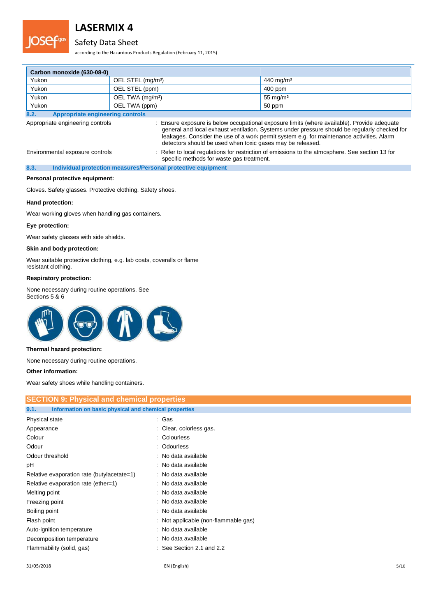

### Safety Data Sheet

according to the Hazardous Products Regulation (February 11, 2015)

| Carbon monoxide (630-08-0) |                               |                       |
|----------------------------|-------------------------------|-----------------------|
| Yukon                      | OEL STEL (mg/m <sup>3</sup> ) | 440 mg/m <sup>3</sup> |
| Yukon                      | OEL STEL (ppm)                | 400 ppm               |
| Yukon                      | OEL TWA (mg/m <sup>3</sup> )  | 55 mg/m $3$           |
| Yukon                      | OEL TWA (ppm)                 | 50 ppm                |

**8.2. Appropriate engineering controls**

Appropriate engineering controls : Ensure exposure is below occupational exposure limits (where available). Provide adequate general and local exhaust ventilation. Systems under pressure should be regularly checked for leakages. Consider the use of a work permit system e.g. for maintenance activities. Alarm detectors should be used when toxic gases may be released.

Environmental exposure controls : Refer to local regulations for restriction of emissions to the atmosphere. See section 13 for

specific methods for waste gas treatment. **8.3. Individual protection measures/Personal protective equipment**

#### **Personal protective equipment:**

Gloves. Safety glasses. Protective clothing. Safety shoes.

#### **Hand protection:**

Wear working gloves when handling gas containers.

#### **Eye protection:**

Wear safety glasses with side shields.

#### **Skin and body protection:**

Wear suitable protective clothing, e.g. lab coats, coveralls or flame resistant clothing.

#### **Respiratory protection:**

None necessary during routine operations. See Sections 5 & 6



#### **Thermal hazard protection:**

None necessary during routine operations.

**Other information:**

Wear safety shoes while handling containers.

| <b>SECTION 9: Physical and chemical properties</b>            |                                      |  |  |  |
|---------------------------------------------------------------|--------------------------------------|--|--|--|
| 9.1.<br>Information on basic physical and chemical properties |                                      |  |  |  |
| Physical state                                                | : Gas                                |  |  |  |
| Appearance                                                    | : Clear, colorless gas.              |  |  |  |
| Colour                                                        | : Colourless                         |  |  |  |
| Odour                                                         | : Odourless                          |  |  |  |
| Odour threshold                                               | : No data available                  |  |  |  |
| рH                                                            | : No data available                  |  |  |  |
| Relative evaporation rate (butylacetate=1)                    | : No data available                  |  |  |  |
| Relative evaporation rate (ether=1)                           | : No data available                  |  |  |  |
| Melting point                                                 | : No data available                  |  |  |  |
| Freezing point                                                | : No data available                  |  |  |  |
| Boiling point                                                 | : No data available                  |  |  |  |
| Flash point                                                   | : Not applicable (non-flammable gas) |  |  |  |
| Auto-ignition temperature                                     | : No data available                  |  |  |  |
| Decomposition temperature                                     | : No data available                  |  |  |  |
| Flammability (solid, gas)                                     | $:$ See Section 2.1 and 2.2          |  |  |  |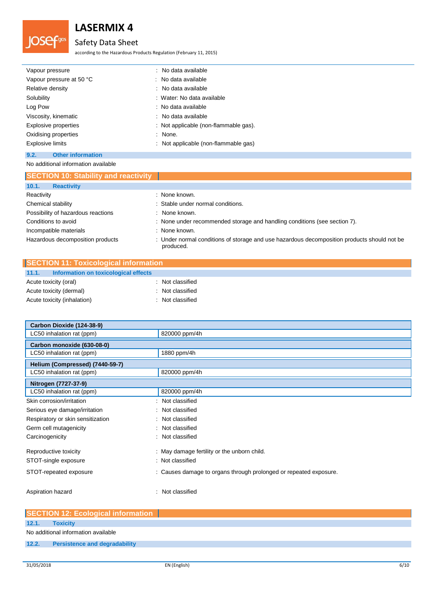

## Safety Data Sheet

according to the Hazardous Products Regulation (February 11, 2015)

| Vapour pressure          | : No data available                   |
|--------------------------|---------------------------------------|
| Vapour pressure at 50 °C | : No data available                   |
| Relative density         | : No data available                   |
| Solubility               | : Water: No data available            |
| Log Pow                  | : No data available                   |
| Viscosity, kinematic     | : No data available                   |
| Explosive properties     | : Not applicable (non-flammable gas). |
| Oxidising properties     | : None.                               |
| <b>Explosive limits</b>  | : Not applicable (non-flammable gas)  |
|                          |                                       |

### **9.2. Other information** No additional information available

| <b>SECTION 10: Stability and reactivity</b> |                                                                                                          |
|---------------------------------------------|----------------------------------------------------------------------------------------------------------|
| 10.1.<br><b>Reactivity</b>                  |                                                                                                          |
| Reactivity                                  | : None known.                                                                                            |
| Chemical stability                          | : Stable under normal conditions.                                                                        |
| Possibility of hazardous reactions          | : None known.                                                                                            |
| Conditions to avoid                         | : None under recommended storage and handling conditions (see section 7).                                |
| Incompatible materials                      | : None known.                                                                                            |
| Hazardous decomposition products            | : Under normal conditions of storage and use hazardous decomposition products should not be<br>produced. |

| SECTION 11: Toxicological information         |                  |  |
|-----------------------------------------------|------------------|--|
| Information on toxicological effects<br>11.1. |                  |  |
| Acute toxicity (oral)                         | : Not classified |  |
| Acute toxicity (dermal)                       | : Not classified |  |
| Acute toxicity (inhalation)                   | : Not classified |  |

| Carbon Dioxide (124-38-9)           |                                                                   |
|-------------------------------------|-------------------------------------------------------------------|
| LC50 inhalation rat (ppm)           | 820000 ppm/4h                                                     |
| Carbon monoxide (630-08-0)          |                                                                   |
| LC50 inhalation rat (ppm)           | 1880 ppm/4h                                                       |
| Helium (Compressed) (7440-59-7)     |                                                                   |
| LC50 inhalation rat (ppm)           | 820000 ppm/4h                                                     |
| Nitrogen (7727-37-9)                |                                                                   |
| LC50 inhalation rat (ppm)           | 820000 ppm/4h                                                     |
| Skin corrosion/irritation<br>÷      | Not classified                                                    |
| Serious eye damage/irritation<br>÷. | Not classified                                                    |
| Respiratory or skin sensitization   | Not classified                                                    |
| Germ cell mutagenicity<br>٠         | Not classified                                                    |
| Carcinogenicity<br>÷                | Not classified                                                    |
| Reproductive toxicity               | : May damage fertility or the unborn child.                       |
| STOT-single exposure                | : Not classified                                                  |
| STOT-repeated exposure              | : Causes damage to organs through prolonged or repeated exposure. |
| Aspiration hazard                   | Not classified                                                    |

|       | <b>SECTION 12: Ecological information</b> |
|-------|-------------------------------------------|
| 12.1. | <b>Toxicity</b>                           |
|       | No additional information available       |
| 12.2. | <b>Persistence and degradability</b>      |
|       |                                           |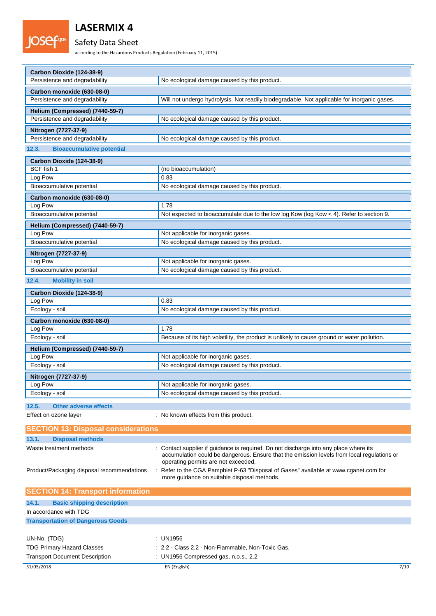

## Safety Data Sheet

according to the Hazardous Products Regulation (February 11, 2015)

| Carbon Dioxide (124-38-9)                  |                                                                                                                                   |
|--------------------------------------------|-----------------------------------------------------------------------------------------------------------------------------------|
| Persistence and degradability              | No ecological damage caused by this product.                                                                                      |
| Carbon monoxide (630-08-0)                 |                                                                                                                                   |
| Persistence and degradability              | Will not undergo hydrolysis. Not readily biodegradable. Not applicable for inorganic gases.                                       |
| Helium (Compressed) (7440-59-7)            |                                                                                                                                   |
| Persistence and degradability              | No ecological damage caused by this product.                                                                                      |
| Nitrogen (7727-37-9)                       |                                                                                                                                   |
| Persistence and degradability              | No ecological damage caused by this product.                                                                                      |
| 12.3.<br><b>Bioaccumulative potential</b>  |                                                                                                                                   |
| Carbon Dioxide (124-38-9)                  |                                                                                                                                   |
| BCF fish 1                                 | (no bioaccumulation)                                                                                                              |
| Log Pow                                    | 0.83                                                                                                                              |
| Bioaccumulative potential                  | No ecological damage caused by this product.                                                                                      |
| Carbon monoxide (630-08-0)                 |                                                                                                                                   |
| Log Pow                                    | 1.78                                                                                                                              |
| Bioaccumulative potential                  | Not expected to bioaccumulate due to the low log Kow (log Kow < 4). Refer to section 9.                                           |
| Helium (Compressed) (7440-59-7)            |                                                                                                                                   |
| Log Pow                                    | Not applicable for inorganic gases.                                                                                               |
| Bioaccumulative potential                  | No ecological damage caused by this product.                                                                                      |
| Nitrogen (7727-37-9)                       |                                                                                                                                   |
| Log Pow                                    | Not applicable for inorganic gases.                                                                                               |
| Bioaccumulative potential                  | No ecological damage caused by this product.                                                                                      |
| 12.4.<br><b>Mobility in soil</b>           |                                                                                                                                   |
| Carbon Dioxide (124-38-9)                  |                                                                                                                                   |
| Log Pow                                    | 0.83                                                                                                                              |
| Ecology - soil                             | No ecological damage caused by this product.                                                                                      |
| Carbon monoxide (630-08-0)                 |                                                                                                                                   |
| Log Pow                                    | 1.78                                                                                                                              |
| Ecology - soil                             | Because of its high volatility, the product is unlikely to cause ground or water pollution.                                       |
| Helium (Compressed) (7440-59-7)            |                                                                                                                                   |
| Log Pow                                    | Not applicable for inorganic gases.                                                                                               |
| Ecology - soil                             | No ecological damage caused by this product.                                                                                      |
| Nitrogen (7727-37-9)                       |                                                                                                                                   |
| Log Pow                                    | Not applicable for inorganic gases.                                                                                               |
| Ecology - soil                             | No ecological damage caused by this product.                                                                                      |
| 12.5.<br><b>Other adverse effects</b>      |                                                                                                                                   |
| Effect on ozone layer                      | : No known effects from this product.                                                                                             |
| <b>SECTION 13: Disposal considerations</b> |                                                                                                                                   |
| <b>Disposal methods</b><br>13.1.           |                                                                                                                                   |
| Waste treatment methods                    | Contact supplier if guidance is required. Do not discharge into any place where its                                               |
|                                            | accumulation could be dangerous. Ensure that the emission levels from local regulations or<br>operating permits are not exceeded. |
| Product/Packaging disposal recommendations | Refer to the CGA Pamphlet P-63 "Disposal of Gases" available at www.cganet.com for                                                |
|                                            | more quidance on suitable disposal methods.                                                                                       |
| <b>SECTION 14: Transport information</b>   |                                                                                                                                   |
| 14.1.<br><b>Basic shipping description</b> |                                                                                                                                   |
| In accordance with TDG                     |                                                                                                                                   |
| <b>Transportation of Dangerous Goods</b>   |                                                                                                                                   |
|                                            |                                                                                                                                   |
| UN-No. (TDG)                               | : UN1956                                                                                                                          |
| <b>TDG Primary Hazard Classes</b>          | : 2.2 - Class 2.2 - Non-Flammable, Non-Toxic Gas.                                                                                 |
| <b>Transport Document Description</b>      | : UN1956 Compressed gas, n.o.s., 2.2                                                                                              |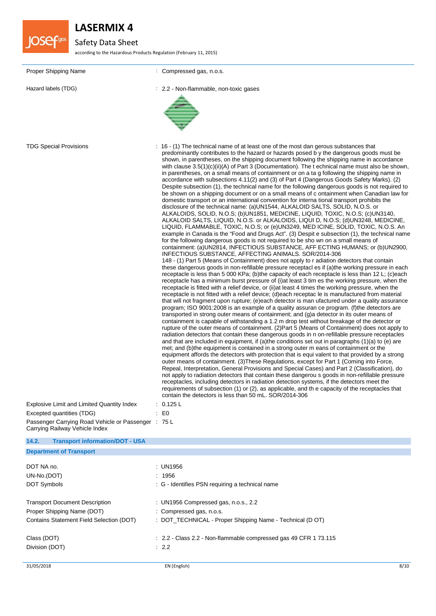

# Safety Data Sheet

according to the Hazardous Products Regulation (February 11, 2015)

| Proper Shipping Name                                                             | : Compressed gas, n.o.s.                                                                                                                                                                                                                                                                                                                                                                                                                                                                                                                                                                                                                                                                                                                                                                                                                                                                                                                                                                                                                                                                                                                                                                                                                                                                                                                                                                                                                                                                                                                                                                                                                                                                                                                                                                                                                                                                                                                                                                                                                                                                                                                                                                                                                                                                                                                                                                                                                                                                                                                                                                                                                                                                                                                                                                                                                                                                                                                                                                                                                                                                                                                                                                                                                                                                                                                                                                                                                                                                                                                                                                                                                            |
|----------------------------------------------------------------------------------|-----------------------------------------------------------------------------------------------------------------------------------------------------------------------------------------------------------------------------------------------------------------------------------------------------------------------------------------------------------------------------------------------------------------------------------------------------------------------------------------------------------------------------------------------------------------------------------------------------------------------------------------------------------------------------------------------------------------------------------------------------------------------------------------------------------------------------------------------------------------------------------------------------------------------------------------------------------------------------------------------------------------------------------------------------------------------------------------------------------------------------------------------------------------------------------------------------------------------------------------------------------------------------------------------------------------------------------------------------------------------------------------------------------------------------------------------------------------------------------------------------------------------------------------------------------------------------------------------------------------------------------------------------------------------------------------------------------------------------------------------------------------------------------------------------------------------------------------------------------------------------------------------------------------------------------------------------------------------------------------------------------------------------------------------------------------------------------------------------------------------------------------------------------------------------------------------------------------------------------------------------------------------------------------------------------------------------------------------------------------------------------------------------------------------------------------------------------------------------------------------------------------------------------------------------------------------------------------------------------------------------------------------------------------------------------------------------------------------------------------------------------------------------------------------------------------------------------------------------------------------------------------------------------------------------------------------------------------------------------------------------------------------------------------------------------------------------------------------------------------------------------------------------------------------------------------------------------------------------------------------------------------------------------------------------------------------------------------------------------------------------------------------------------------------------------------------------------------------------------------------------------------------------------------------------------------------------------------------------------------------------------------------------|
| Hazard labels (TDG)                                                              | : 2.2 - Non-flammable, non-toxic gases                                                                                                                                                                                                                                                                                                                                                                                                                                                                                                                                                                                                                                                                                                                                                                                                                                                                                                                                                                                                                                                                                                                                                                                                                                                                                                                                                                                                                                                                                                                                                                                                                                                                                                                                                                                                                                                                                                                                                                                                                                                                                                                                                                                                                                                                                                                                                                                                                                                                                                                                                                                                                                                                                                                                                                                                                                                                                                                                                                                                                                                                                                                                                                                                                                                                                                                                                                                                                                                                                                                                                                                                              |
|                                                                                  |                                                                                                                                                                                                                                                                                                                                                                                                                                                                                                                                                                                                                                                                                                                                                                                                                                                                                                                                                                                                                                                                                                                                                                                                                                                                                                                                                                                                                                                                                                                                                                                                                                                                                                                                                                                                                                                                                                                                                                                                                                                                                                                                                                                                                                                                                                                                                                                                                                                                                                                                                                                                                                                                                                                                                                                                                                                                                                                                                                                                                                                                                                                                                                                                                                                                                                                                                                                                                                                                                                                                                                                                                                                     |
| <b>TDG Special Provisions</b>                                                    | : 16 - (1) The technical name of at least one of the most dan gerous substances that<br>predominantly contributes to the hazard or hazards posed by the dangerous goods must be<br>shown, in parentheses, on the shipping document following the shipping name in accordance<br>with clause $3.5(1)(c)(ii)(A)$ of Part 3 (Documentation). The t echnical name must also be shown,<br>in parentheses, on a small means of containment or on a ta g following the shipping name in<br>accordance with subsections 4.11(2) and (3) of Part 4 (Dangerous Goods Safety Marks). (2)<br>Despite subsection (1), the technical name for the following dangerous goods is not required to<br>be shown on a shipping document or on a small means of c ontainment when Canadian law for<br>domestic transport or an international convention for interna tional transport prohibits the<br>disclosure of the technical name: (a)UN1544, ALKALOID SALTS, SOLID, N.O.S. or<br>ALKALOIDS, SOLID, N.O.S; (b)UN1851, MEDICINE, LIQUID, TOXIC, N.O.S; (c)UN3140,<br>ALKALOID SALTS, LIQUID, N.O.S. or ALKALOIDS, LIQUI D, N.O.S; (d)UN3248, MEDICINE,<br>LIQUID, FLAMMABLE, TOXIC, N.O.S; or (e)UN3249, MED ICINE, SOLID, TOXIC, N.O.S. An<br>example in Canada is the "Food and Drugs Act". (3) Despit e subsection (1), the technical name<br>for the following dangerous goods is not required to be sho wn on a small means of<br>containment: (a)UN2814, INFECTIOUS SUBSTANCE, AFF ECTING HUMANS; or (b)UN2900,<br>INFECTIOUS SUBSTANCE, AFFECTING ANIMALS. SOR/2014-306<br>148 - (1) Part 5 (Means of Containment) does not apply to r adiation detectors that contain<br>these dangerous goods in non-refillable pressure receptacl es if (a) the working pressure in each<br>receptacle is less than 5 000 KPa; (b) the capacity of each receptacle is less than 12 L; (c) each<br>receptacle has a minimum burst pressure of (i) at least 3 tim es the working pressure, when the<br>receptacle is fitted with a relief device, or (ii) at least 4 times the working pressure, when the<br>receptacle is not fitted with a relief device; (d)each receptac le is manufactured from material<br>that will not fragment upon rupture; (e)each detector is man ufactured under a quality assurance<br>program; ISO 9001:2008 is an example of a quality assuran ce program. (f) the detectors are<br>transported in strong outer means of containment; and (g)a detector in its outer means of<br>containment is capable of withstanding a 1.2 m drop test without breakage of the detector or<br>rupture of the outer means of containment. (2)Part 5 (Means of Containment) does not apply to<br>radiation detectors that contain these dangerous goods in n on-refillable pressure receptacles<br>and that are included in equipment, if (a)the conditions set out in paragraphs (1)(a) to (e) are<br>met; and (b)the equipment is contained in a strong outer m eans of containment or the<br>equipment affords the detectors with protection that is equi valent to that provided by a strong<br>outer means of containment. (3) These Regulations, except for Part 1 (Coming into Force,<br>Repeal, Interpretation, General Provisions and Special Cases) and Part 2 (Classification), do<br>not apply to radiation detectors that contain these dangerou s goods in non-refillable pressure<br>receptacles, including detectors in radiation detection systems, if the detectors meet the<br>requirements of subsection (1) or (2), as applicable, and th e capacity of the receptacles that<br>contain the detectors is less than 50 mL. SOR/2014-306 |
| Explosive Limit and Limited Quantity Index                                       | $\therefore$ 0.125 L                                                                                                                                                                                                                                                                                                                                                                                                                                                                                                                                                                                                                                                                                                                                                                                                                                                                                                                                                                                                                                                                                                                                                                                                                                                                                                                                                                                                                                                                                                                                                                                                                                                                                                                                                                                                                                                                                                                                                                                                                                                                                                                                                                                                                                                                                                                                                                                                                                                                                                                                                                                                                                                                                                                                                                                                                                                                                                                                                                                                                                                                                                                                                                                                                                                                                                                                                                                                                                                                                                                                                                                                                                |
| Excepted quantities (TDG)<br>Passenger Carrying Road Vehicle or Passenger : 75 L | $\mathbf{E}$ = $\mathbf{E}$                                                                                                                                                                                                                                                                                                                                                                                                                                                                                                                                                                                                                                                                                                                                                                                                                                                                                                                                                                                                                                                                                                                                                                                                                                                                                                                                                                                                                                                                                                                                                                                                                                                                                                                                                                                                                                                                                                                                                                                                                                                                                                                                                                                                                                                                                                                                                                                                                                                                                                                                                                                                                                                                                                                                                                                                                                                                                                                                                                                                                                                                                                                                                                                                                                                                                                                                                                                                                                                                                                                                                                                                                         |
| Carrying Railway Vehicle Index                                                   |                                                                                                                                                                                                                                                                                                                                                                                                                                                                                                                                                                                                                                                                                                                                                                                                                                                                                                                                                                                                                                                                                                                                                                                                                                                                                                                                                                                                                                                                                                                                                                                                                                                                                                                                                                                                                                                                                                                                                                                                                                                                                                                                                                                                                                                                                                                                                                                                                                                                                                                                                                                                                                                                                                                                                                                                                                                                                                                                                                                                                                                                                                                                                                                                                                                                                                                                                                                                                                                                                                                                                                                                                                                     |
| 14.2.<br><b>Transport information/DOT - USA</b>                                  |                                                                                                                                                                                                                                                                                                                                                                                                                                                                                                                                                                                                                                                                                                                                                                                                                                                                                                                                                                                                                                                                                                                                                                                                                                                                                                                                                                                                                                                                                                                                                                                                                                                                                                                                                                                                                                                                                                                                                                                                                                                                                                                                                                                                                                                                                                                                                                                                                                                                                                                                                                                                                                                                                                                                                                                                                                                                                                                                                                                                                                                                                                                                                                                                                                                                                                                                                                                                                                                                                                                                                                                                                                                     |
| <b>Department of Transport</b>                                                   |                                                                                                                                                                                                                                                                                                                                                                                                                                                                                                                                                                                                                                                                                                                                                                                                                                                                                                                                                                                                                                                                                                                                                                                                                                                                                                                                                                                                                                                                                                                                                                                                                                                                                                                                                                                                                                                                                                                                                                                                                                                                                                                                                                                                                                                                                                                                                                                                                                                                                                                                                                                                                                                                                                                                                                                                                                                                                                                                                                                                                                                                                                                                                                                                                                                                                                                                                                                                                                                                                                                                                                                                                                                     |
| DOT NA no.                                                                       | : UN1956                                                                                                                                                                                                                                                                                                                                                                                                                                                                                                                                                                                                                                                                                                                                                                                                                                                                                                                                                                                                                                                                                                                                                                                                                                                                                                                                                                                                                                                                                                                                                                                                                                                                                                                                                                                                                                                                                                                                                                                                                                                                                                                                                                                                                                                                                                                                                                                                                                                                                                                                                                                                                                                                                                                                                                                                                                                                                                                                                                                                                                                                                                                                                                                                                                                                                                                                                                                                                                                                                                                                                                                                                                            |
| UN-No.(DOT)                                                                      | 1956                                                                                                                                                                                                                                                                                                                                                                                                                                                                                                                                                                                                                                                                                                                                                                                                                                                                                                                                                                                                                                                                                                                                                                                                                                                                                                                                                                                                                                                                                                                                                                                                                                                                                                                                                                                                                                                                                                                                                                                                                                                                                                                                                                                                                                                                                                                                                                                                                                                                                                                                                                                                                                                                                                                                                                                                                                                                                                                                                                                                                                                                                                                                                                                                                                                                                                                                                                                                                                                                                                                                                                                                                                                |
| DOT Symbols                                                                      | : G - Identifies PSN requiring a technical name                                                                                                                                                                                                                                                                                                                                                                                                                                                                                                                                                                                                                                                                                                                                                                                                                                                                                                                                                                                                                                                                                                                                                                                                                                                                                                                                                                                                                                                                                                                                                                                                                                                                                                                                                                                                                                                                                                                                                                                                                                                                                                                                                                                                                                                                                                                                                                                                                                                                                                                                                                                                                                                                                                                                                                                                                                                                                                                                                                                                                                                                                                                                                                                                                                                                                                                                                                                                                                                                                                                                                                                                     |
| <b>Transport Document Description</b>                                            | : UN1956 Compressed gas, n.o.s., 2.2                                                                                                                                                                                                                                                                                                                                                                                                                                                                                                                                                                                                                                                                                                                                                                                                                                                                                                                                                                                                                                                                                                                                                                                                                                                                                                                                                                                                                                                                                                                                                                                                                                                                                                                                                                                                                                                                                                                                                                                                                                                                                                                                                                                                                                                                                                                                                                                                                                                                                                                                                                                                                                                                                                                                                                                                                                                                                                                                                                                                                                                                                                                                                                                                                                                                                                                                                                                                                                                                                                                                                                                                                |
| Proper Shipping Name (DOT)                                                       | : Compressed gas, n.o.s.                                                                                                                                                                                                                                                                                                                                                                                                                                                                                                                                                                                                                                                                                                                                                                                                                                                                                                                                                                                                                                                                                                                                                                                                                                                                                                                                                                                                                                                                                                                                                                                                                                                                                                                                                                                                                                                                                                                                                                                                                                                                                                                                                                                                                                                                                                                                                                                                                                                                                                                                                                                                                                                                                                                                                                                                                                                                                                                                                                                                                                                                                                                                                                                                                                                                                                                                                                                                                                                                                                                                                                                                                            |
| Contains Statement Field Selection (DOT)                                         | : DOT_TECHNICAL - Proper Shipping Name - Technical (D OT)                                                                                                                                                                                                                                                                                                                                                                                                                                                                                                                                                                                                                                                                                                                                                                                                                                                                                                                                                                                                                                                                                                                                                                                                                                                                                                                                                                                                                                                                                                                                                                                                                                                                                                                                                                                                                                                                                                                                                                                                                                                                                                                                                                                                                                                                                                                                                                                                                                                                                                                                                                                                                                                                                                                                                                                                                                                                                                                                                                                                                                                                                                                                                                                                                                                                                                                                                                                                                                                                                                                                                                                           |
| Class (DOT)<br>Division (DOT)                                                    | : 2.2 - Class 2.2 - Non-flammable compressed gas 49 CFR 1 73.115<br>: 2.2                                                                                                                                                                                                                                                                                                                                                                                                                                                                                                                                                                                                                                                                                                                                                                                                                                                                                                                                                                                                                                                                                                                                                                                                                                                                                                                                                                                                                                                                                                                                                                                                                                                                                                                                                                                                                                                                                                                                                                                                                                                                                                                                                                                                                                                                                                                                                                                                                                                                                                                                                                                                                                                                                                                                                                                                                                                                                                                                                                                                                                                                                                                                                                                                                                                                                                                                                                                                                                                                                                                                                                           |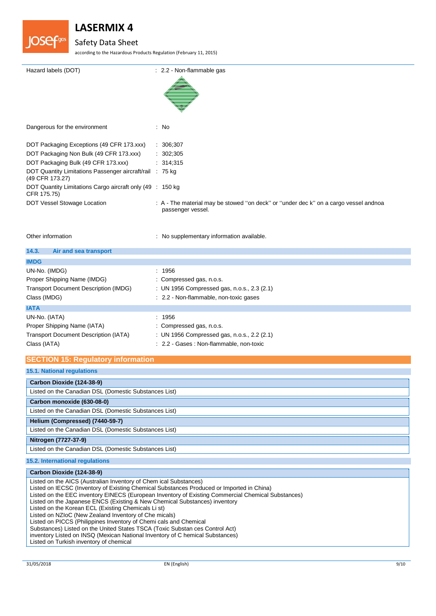

### Safety Data Sheet

according to the Hazardous Products Regulation (February 11, 2015)

| Hazard labels (DOT)                                                         | : 2.2 - Non-flammable gas                                                                                 |
|-----------------------------------------------------------------------------|-----------------------------------------------------------------------------------------------------------|
| Dangerous for the environment                                               | : No                                                                                                      |
| DOT Packaging Exceptions (49 CFR 173.xxx)                                   | : 306;307                                                                                                 |
| DOT Packaging Non Bulk (49 CFR 173.xxx)                                     | : 302;305                                                                                                 |
| DOT Packaging Bulk (49 CFR 173.xxx)                                         | : 314,315                                                                                                 |
| DOT Quantity Limitations Passenger aircraft/rail : 75 kg<br>(49 CFR 173.27) |                                                                                                           |
| DOT Quantity Limitations Cargo aircraft only (49 : 150 kg)<br>CFR 175.75)   |                                                                                                           |
| DOT Vessel Stowage Location                                                 | : A - The material may be stowed "on deck" or "under dec k" on a cargo vessel andnoa<br>passenger vessel. |

Other information **contains the contact of the contact of the contact of the contact of the contact of the contact of the contact of the contact of the contact of the contact of the contact of the contact of the contact of** 

| 14.3.<br>Air and sea transport                                                                               |                                                                                                                               |
|--------------------------------------------------------------------------------------------------------------|-------------------------------------------------------------------------------------------------------------------------------|
| <b>IMDG</b>                                                                                                  |                                                                                                                               |
| UN-No. (IMDG)<br>Proper Shipping Name (IMDG)<br><b>Transport Document Description (IMDG)</b><br>Class (IMDG) | : 1956<br>: Compressed gas, n.o.s.<br>: UN 1956 Compressed gas, n.o.s., 2.3 (2.1)<br>: 2.2 - Non-flammable, non-toxic gases   |
| <b>IATA</b>                                                                                                  |                                                                                                                               |
| UN-No. (IATA)<br>Proper Shipping Name (IATA)<br><b>Transport Document Description (IATA)</b><br>Class (IATA) | : 1956<br>: Compressed gas, n.o.s.<br>: UN 1956 Compressed gas, n.o.s., 2.2 (2.1)<br>: 2.2 - Gases : Non-flammable, non-toxic |

### **SECTION 15: Regulatory information**

| <b>15.1. National regulations</b>                     |  |
|-------------------------------------------------------|--|
| Carbon Dioxide (124-38-9)                             |  |
| Listed on the Canadian DSL (Domestic Substances List) |  |
| Carbon monoxide (630-08-0)                            |  |
| Listed on the Canadian DSL (Domestic Substances List) |  |
| Helium (Compressed) (7440-59-7)                       |  |
| Listed on the Canadian DSL (Domestic Substances List) |  |
| Nitrogen (7727-37-9)                                  |  |
| Listed on the Canadian DSL (Domestic Substances List) |  |
| 15.2. International regulations                       |  |

# **Carbon Dioxide (124-38-9)**

Listed on the AICS (Australian Inventory of Chem ical Substances) Listed on IECSC (Inventory of Existing Chemical Substances Produced or Imported in China) Listed on the EEC inventory EINECS (European Inventory of Existing Commercial Chemical Substances) Listed on the Japanese ENCS (Existing & New Chemical Substances) inventory Listed on the Korean ECL (Existing Chemicals Li st) Listed on NZIoC (New Zealand Inventory of Che micals) Listed on PICCS (Philippines Inventory of Chemi cals and Chemical Substances) Listed on the United States TSCA (Toxic Substan ces Control Act) inventory Listed on INSQ (Mexican National Inventory of C hemical Substances) Listed on Turkish inventory of chemical